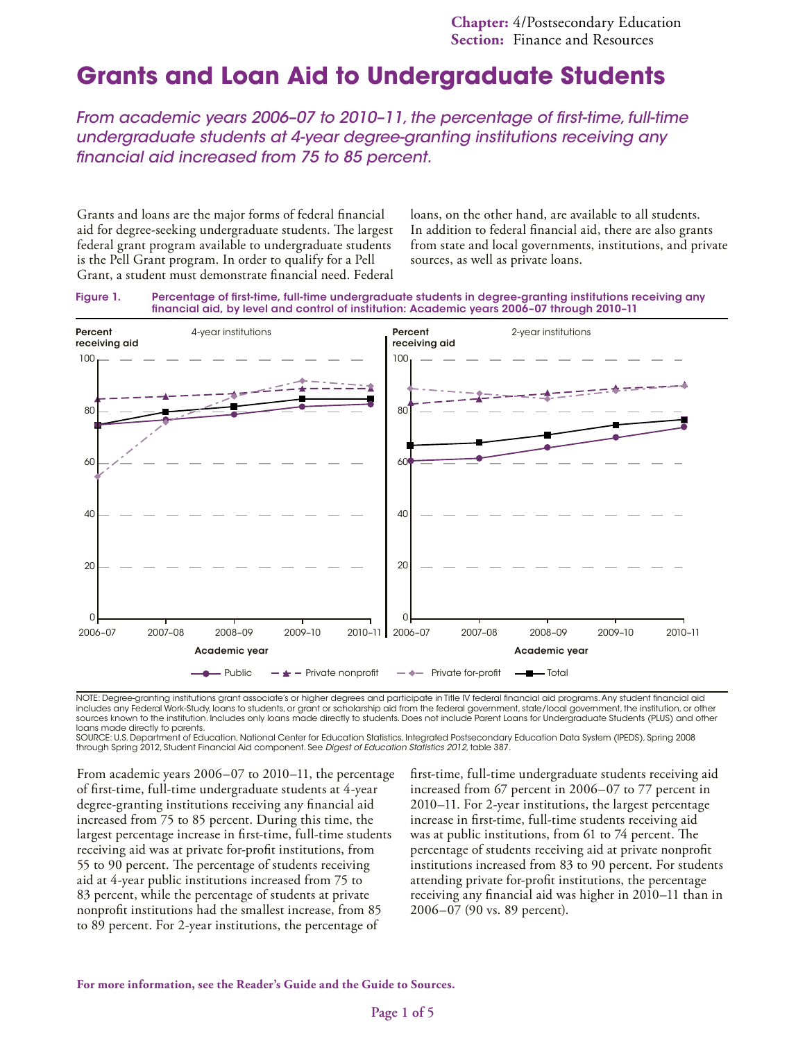# **Grants and Loan Aid to Undergraduate Students**

*From academic years 2006–07 to 2010–11, the percentage of first-time, full-time undergraduate students at 4-year degree-granting institutions receiving any financial aid increased from 75 to 85 percent.*

Grants and loans are the major forms of federal financial aid for degree-seeking undergraduate students. The largest federal grant program available to undergraduate students is the Pell Grant program. In order to qualify for a Pell Grant, a student must demonstrate financial need. Federal loans, on the other hand, are available to all students. In addition to federal financial aid, there are also grants from state and local governments, institutions, and private sources, as well as private loans.





NOTE: Degree-granting institutions grant associate's or higher degrees and participate in Title IV federal financial aid programs. Any student financial aid includes any Federal Work-Study, loans to students, or grant or scholarship aid from the federal government, state/local government, the institution, or other sources known to the institution. Includes only loans made directly to students. Does not include Parent Loans for Undergraduate Students (PLUS) and other loans made directly to parents.

SOURCE: U.S. Department of Education, National Center for Education Statistics, Integrated Postsecondary Education Data System (IPEDS), Spring 2008 through Spring 2012, Student Financial Aid component. See *Digest of Education Statistics 2012,* table 387.

From academic years 2006–07 to 2010–11, the percentage of first-time, full-time undergraduate students at 4-year degree-granting institutions receiving any financial aid increased from 75 to 85 percent. During this time, the largest percentage increase in first-time, full-time students receiving aid was at private for-profit institutions, from 55 to 90 percent. The percentage of students receiving aid at 4-year public institutions increased from 75 to 83 percent, while the percentage of students at private nonprofit institutions had the smallest increase, from 85 to 89 percent. For 2-year institutions, the percentage of

first-time, full-time undergraduate students receiving aid increased from 67 percent in 2006–07 to 77 percent in 2010–11. For 2-year institutions, the largest percentage increase in first-time, full-time students receiving aid was at public institutions, from 61 to 74 percent. The percentage of students receiving aid at private nonprofit institutions increased from 83 to 90 percent. For students attending private for-profit institutions, the percentage receiving any financial aid was higher in 2010–11 than in 2006–07 (90 vs. 89 percent).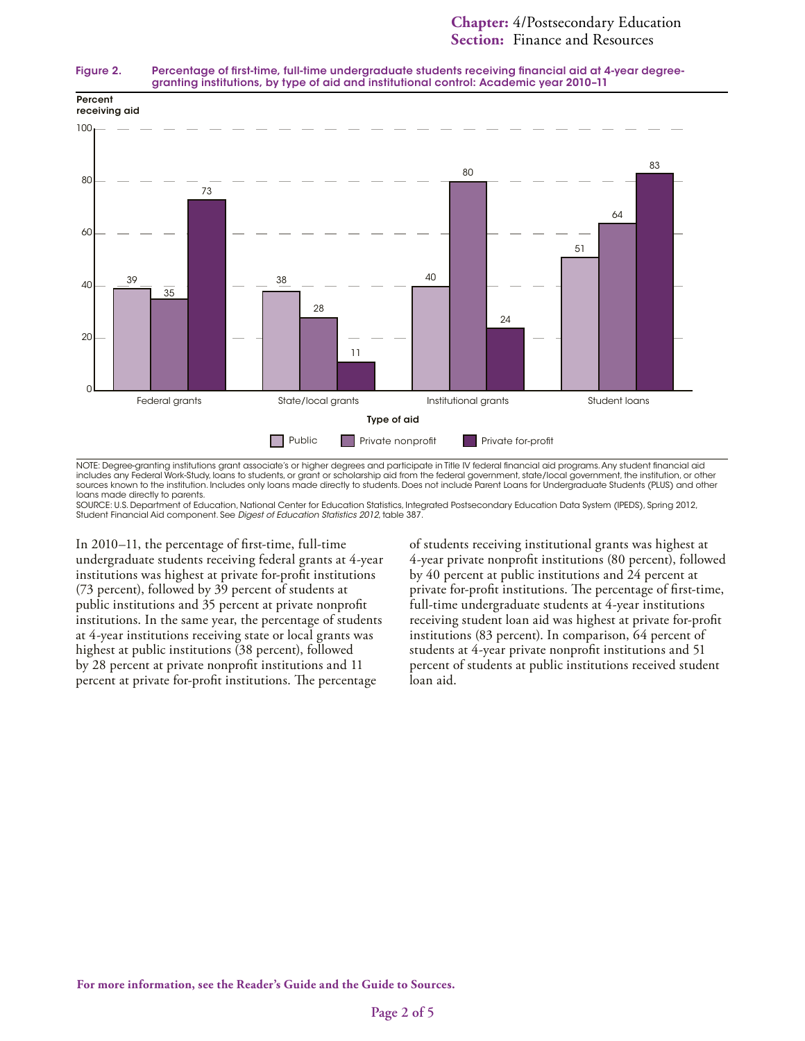#### Figure 2. Percentage of first-time, full-time undergraduate students receiving financial aid at 4-year degreegranting institutions, by type of aid and institutional control: Academic year 2010–11



NOTE: Degree-granting institutions grant associate's or higher degrees and participate in Title IV federal financial aid programs. Any student financial aid includes any Federal Work-Study, loans to students, or grant or scholarship aid from the federal government, state/local government, the institution, or other sources known to the institution. Includes only loans made directly to students. Does not include Parent Loans for Undergraduate Students (PLUS) and other loans made directly to parents.

SOURCE: U.S. Department of Education, National Center for Education Statistics, Integrated Postsecondary Education Data System (IPEDS), Spring 2012, Student Financial Aid component. See *Digest of Education Statistics 2012*, table 387.

In 2010–11, the percentage of first-time, full-time undergraduate students receiving federal grants at 4-year institutions was highest at private for-profit institutions (73 percent), followed by 39 percent of students at public institutions and 35 percent at private nonprofit institutions. In the same year, the percentage of students at 4-year institutions receiving state or local grants was highest at public institutions (38 percent), followed by 28 percent at private nonprofit institutions and 11 percent at private for-profit institutions. The percentage

of students receiving institutional grants was highest at 4-year private nonprofit institutions (80 percent), followed by 40 percent at public institutions and 24 percent at private for-profit institutions. The percentage of first-time, full-time undergraduate students at 4-year institutions receiving student loan aid was highest at private for-profit institutions (83 percent). In comparison, 64 percent of students at 4-year private nonprofit institutions and 51 percent of students at public institutions received student loan aid.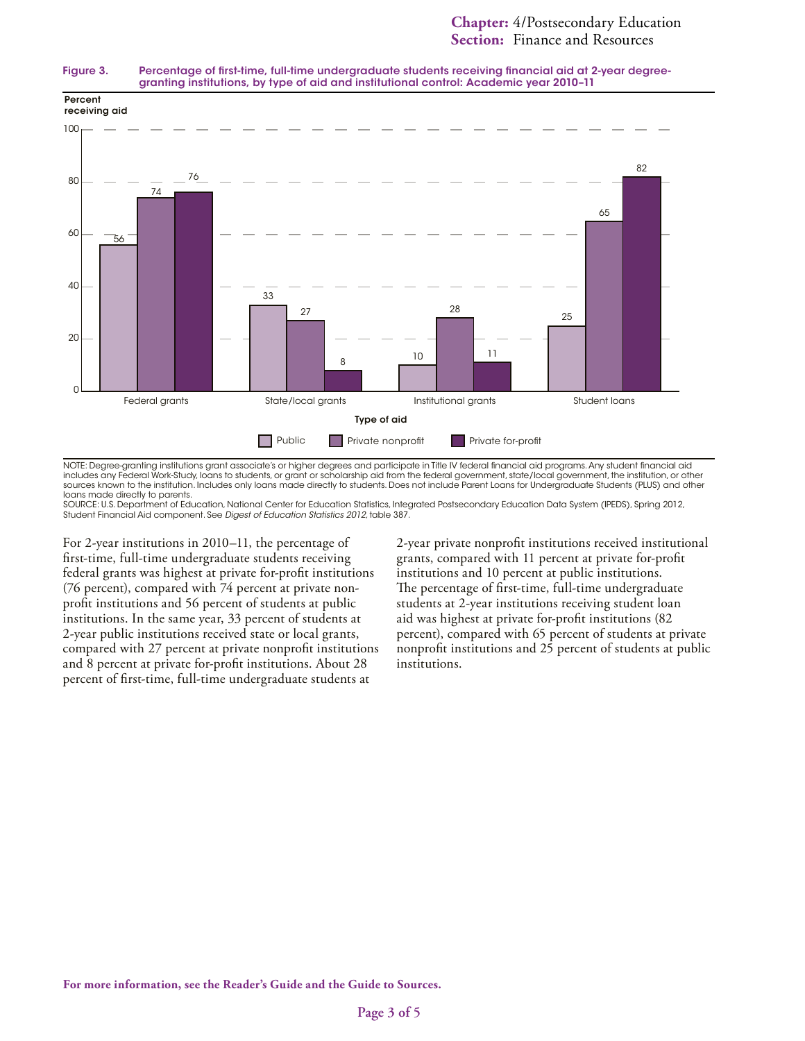



NOTE: Degree-granting institutions grant associate's or higher degrees and participate in Title IV federal financial aid programs. Any student financial aid includes any Federal Work-Study, loans to students, or grant or scholarship aid from the federal government, state/local government, the institution, or other sources known to the institution. Includes only loans made directly to students. Does not include Parent Loans for Undergraduate Students (PLUS) and other loans made directly to parents.

SOURCE: U.S. Department of Education, National Center for Education Statistics, Integrated Postsecondary Education Data System (IPEDS), Spring 2012, Student Financial Aid component. See *Digest of Education Statistics 2012*, table 387.

For 2-year institutions in 2010–11, the percentage of first-time, full-time undergraduate students receiving federal grants was highest at private for-profit institutions (76 percent), compared with 74 percent at private nonprofit institutions and 56 percent of students at public institutions. In the same year, 33 percent of students at 2-year public institutions received state or local grants, compared with 27 percent at private nonprofit institutions and 8 percent at private for-profit institutions. About 28 percent of first-time, full-time undergraduate students at

2-year private nonprofit institutions received institutional grants, compared with 11 percent at private for-profit institutions and 10 percent at public institutions. The percentage of first-time, full-time undergraduate students at 2-year institutions receiving student loan aid was highest at private for-profit institutions (82 percent), compared with 65 percent of students at private nonprofit institutions and 25 percent of students at public institutions.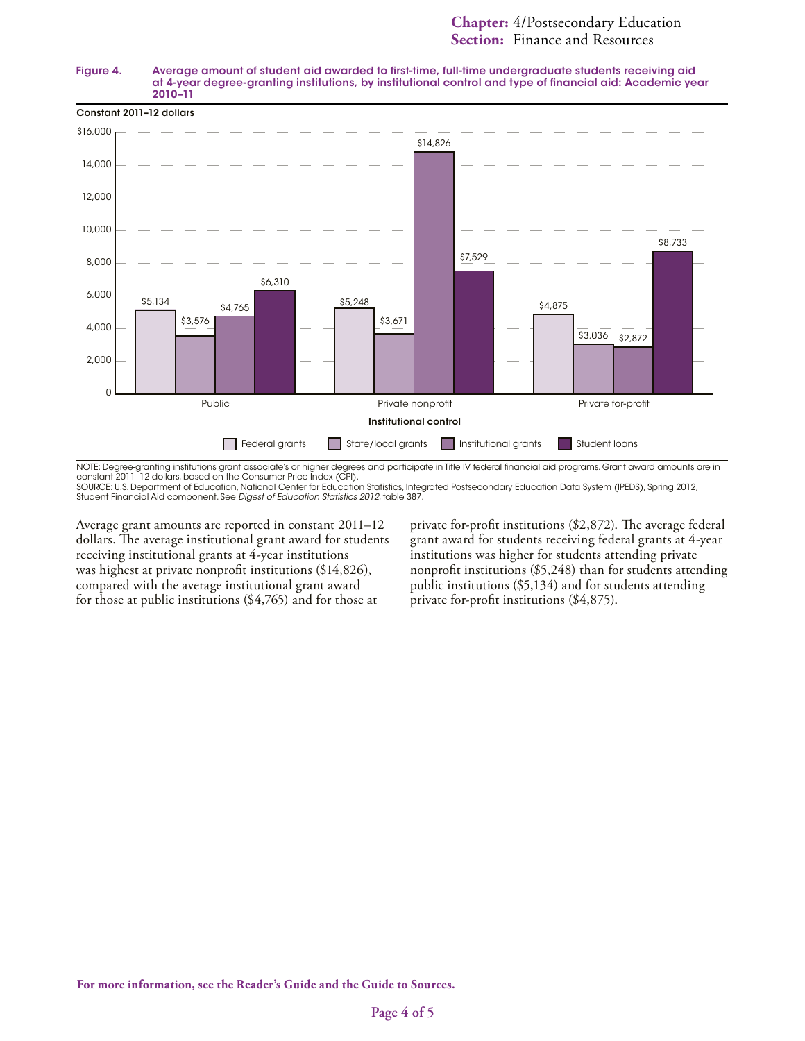#### Figure 4. Average amount of student aid awarded to first-time, full-time undergraduate students receiving aid at 4-year degree-granting institutions, by institutional control and type of financial aid: Academic year 2010–11



NOTE: Degree-granting institutions grant associate's or higher degrees and participate in Title IV federal financial aid programs. Grant award amounts are in constant 2011–12 dollars, based on the Consumer Price Index (CPI).

SOURCE: U.S. Department of Education, National Center for Education Statistics, Integrated Postsecondary Education Data System (IPEDS), Spring 2012, Student Financial Aid component. See *Digest of Education Statistics 2012,* table 387.

Average grant amounts are reported in constant 2011–12 dollars. The average institutional grant award for students receiving institutional grants at 4-year institutions was highest at private nonprofit institutions (\$14,826), compared with the average institutional grant award for those at public institutions (\$4,765) and for those at

private for-profit institutions (\$2,872). The average federal grant award for students receiving federal grants at 4-year institutions was higher for students attending private nonprofit institutions (\$5,248) than for students attending public institutions (\$5,134) and for students attending private for-profit institutions (\$4,875).